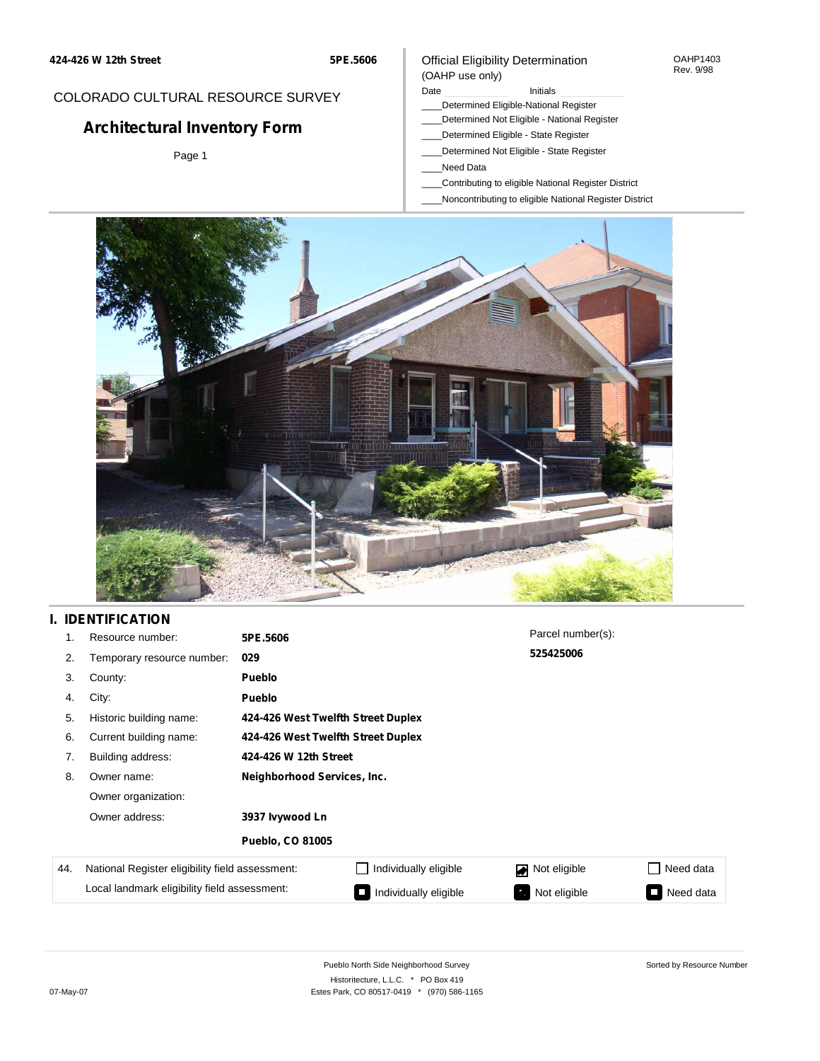**5PE.5606**

#### OAHP1403 Rev. 9/98

### COLORADO CULTURAL RESOURCE SURVEY

# **Architectural Inventory Form**

Page 1

### (OAHP use only) Date **Initials** Initials

Official Eligibility Determination

- \_\_\_\_Determined Eligible-National Register
- \_\_\_\_Determined Not Eligible National Register
- \_\_\_\_Determined Eligible State Register
- \_\_\_\_Determined Not Eligible State Register
- \_\_\_\_Need Data
- \_\_\_\_Contributing to eligible National Register District
- \_\_\_\_Noncontributing to eligible National Register District



## **I. IDENTIFICATION**

| 1.  | Resource number:                                                                                | 5PE.5606                    |                                    | Parcel number(s): |                 |  |  |  |
|-----|-------------------------------------------------------------------------------------------------|-----------------------------|------------------------------------|-------------------|-----------------|--|--|--|
| 2.  | Temporary resource number:                                                                      | 029                         |                                    | 525425006         |                 |  |  |  |
| 3.  | County:                                                                                         | <b>Pueblo</b>               |                                    |                   |                 |  |  |  |
| 4.  | City:                                                                                           | <b>Pueblo</b>               |                                    |                   |                 |  |  |  |
| 5.  | Historic building name:                                                                         |                             | 424-426 West Twelfth Street Duplex |                   |                 |  |  |  |
| 6.  | Current building name:                                                                          |                             | 424-426 West Twelfth Street Duplex |                   |                 |  |  |  |
| 7.  | Building address:                                                                               | 424-426 W 12th Street       |                                    |                   |                 |  |  |  |
| 8.  | Owner name:                                                                                     | Neighborhood Services, Inc. |                                    |                   |                 |  |  |  |
|     | Owner organization:                                                                             |                             |                                    |                   |                 |  |  |  |
|     | Owner address:                                                                                  | 3937 lvywood Ln             |                                    |                   |                 |  |  |  |
|     |                                                                                                 | <b>Pueblo, CO 81005</b>     |                                    |                   |                 |  |  |  |
| 44. | National Register eligibility field assessment:<br>Local landmark eligibility field assessment: |                             | Individually eligible              | Not eligible      | Need data       |  |  |  |
|     |                                                                                                 |                             | Individually eligible              | Not eligible      | Need data<br>I. |  |  |  |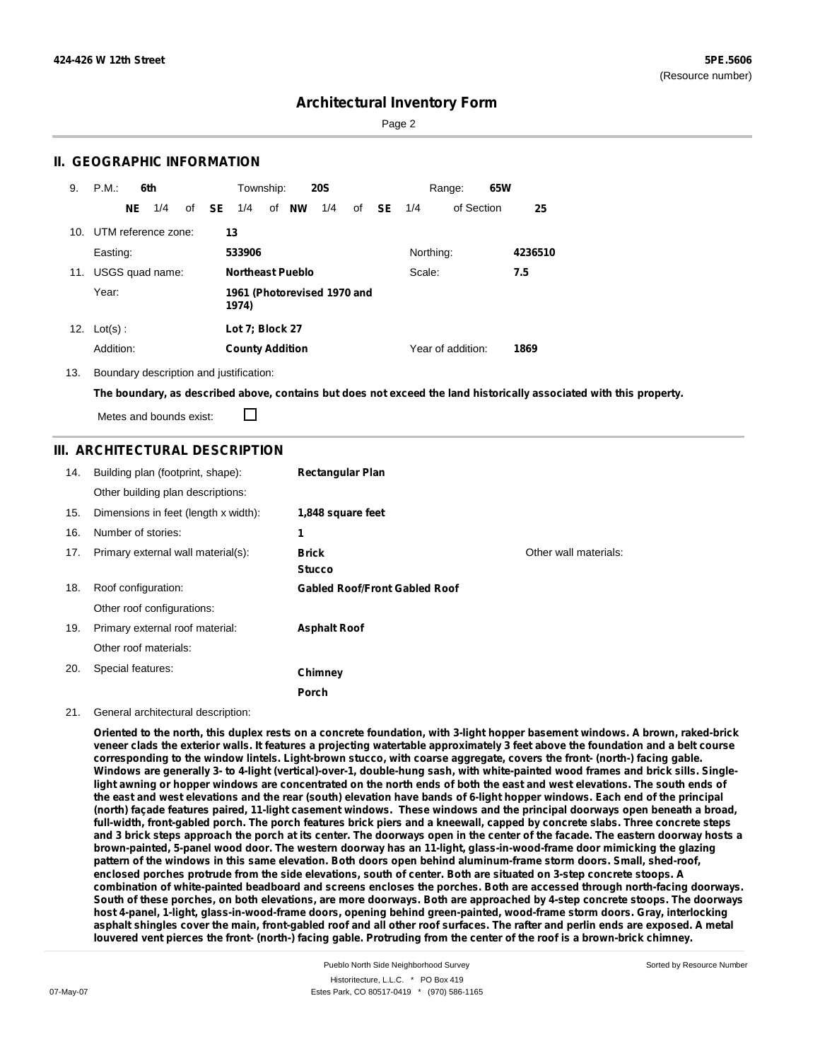Sorted by Resource Number

## **Architectural Inventory Form**

Page 2

### **II. GEOGRAPHIC INFORMATION**

| 9.  | P.M.                    |     | 6th             |              | Township:              |                         | <b>20S</b>                  |    |           |           | Range:            | 65W |         |
|-----|-------------------------|-----|-----------------|--------------|------------------------|-------------------------|-----------------------------|----|-----------|-----------|-------------------|-----|---------|
|     |                         | NE. | 1/4             | of <b>SE</b> | 1/4                    | of <b>NW</b>            | 1/4                         | of | <b>SE</b> | 1/4       | of Section        |     | 25      |
|     | 10. UTM reference zone: |     |                 |              | 13                     |                         |                             |    |           |           |                   |     |         |
|     | Easting:                |     |                 |              | 533906                 |                         |                             |    |           | Northing: |                   |     | 4236510 |
| 11. |                         |     | USGS quad name: |              |                        | <b>Northeast Pueblo</b> |                             |    |           | Scale:    |                   |     | 7.5     |
|     | Year:                   |     |                 |              | 1974)                  |                         | 1961 (Photorevised 1970 and |    |           |           |                   |     |         |
| 12. | $Lot(s)$ :              |     |                 |              | Lot 7; Block 27        |                         |                             |    |           |           |                   |     |         |
|     | Addition:               |     |                 |              | <b>County Addition</b> |                         |                             |    |           |           | Year of addition: |     | 1869    |

13. Boundary description and justification:

The boundary, as described above, contains but does not exceed the land historically associated with this property.

Metes and bounds exist:

П

### **III. ARCHITECTURAL DESCRIPTION**

| 14. | Building plan (footprint, shape):    | <b>Rectangular Plan</b>              |                       |
|-----|--------------------------------------|--------------------------------------|-----------------------|
|     | Other building plan descriptions:    |                                      |                       |
| 15. | Dimensions in feet (length x width): | 1,848 square feet                    |                       |
| 16. | Number of stories:                   | 1                                    |                       |
| 17. | Primary external wall material(s):   | <b>Brick</b>                         | Other wall materials: |
|     |                                      | <b>Stucco</b>                        |                       |
| 18. | Roof configuration:                  | <b>Gabled Roof/Front Gabled Roof</b> |                       |
|     | Other roof configurations:           |                                      |                       |
| 19. | Primary external roof material:      | <b>Asphalt Roof</b>                  |                       |
|     | Other roof materials:                |                                      |                       |
| 20. | Special features:                    | Chimney                              |                       |
|     |                                      | Porch                                |                       |

#### 21. General architectural description:

Oriented to the north, this duplex rests on a concrete foundation, with 3-light hopper basement windows. A brown, raked-brick veneer clads the exterior walls. It features a projecting watertable approximately 3 feet above the foundation and a belt course corresponding to the window lintels. Light-brown stucco, with coarse aggregate, covers the front- (north-) facing gable. Windows are generally 3- to 4-light (vertical)-over-1, double-hung sash, with white-painted wood frames and brick sills. Singlelight awning or hopper windows are concentrated on the north ends of both the east and west elevations. The south ends of the east and west elevations and the rear (south) elevation have bands of 6-light hopper windows. Each end of the principal (north) façade features paired, 11-light casement windows. These windows and the principal doorways open beneath a broad, full-width, front-gabled porch. The porch features brick piers and a kneewall, capped by concrete slabs. Three concrete steps and 3 brick steps approach the porch at its center. The doorways open in the center of the facade. The eastern doorway hosts a **brown-painted, 5-panel wood door. The western doorway has an 11-light, glass-in-wood-frame door mimicking the glazing** pattern of the windows in this same elevation. Both doors open behind aluminum-frame storm doors. Small, shed-roof, enclosed porches protrude from the side elevations, south of center. Both are situated on 3-step concrete stoops. A combination of white-painted beadboard and screens encloses the porches. Both are accessed through north-facing doorways. South of these porches, on both elevations, are more doorways. Both are approached by 4-step concrete stoops. The doorways **host 4-panel, 1-light, glass-in-wood-frame doors, opening behind green-painted, wood-frame storm doors. Gray, interlocking** asphalt shingles cover the main, front-gabled roof and all other roof surfaces. The rafter and perlin ends are exposed. A metal louvered vent pierces the front- (north-) facing gable. Protruding from the center of the roof is a brown-brick chimney.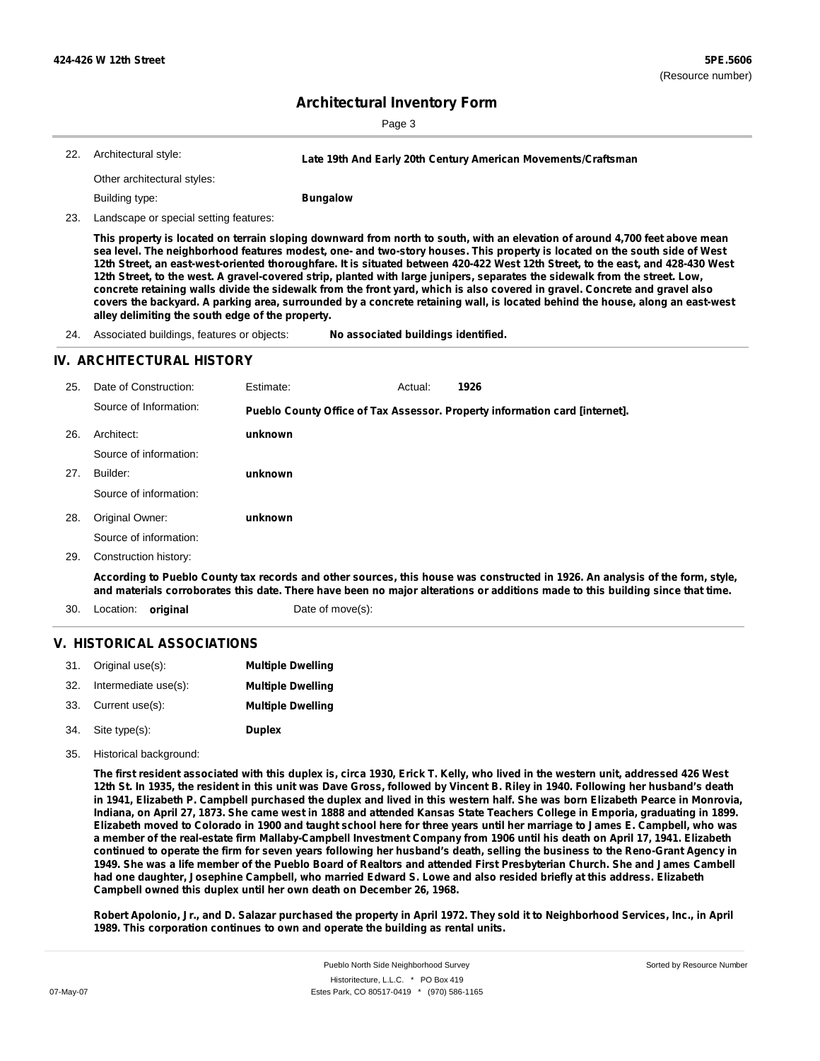| r |  |
|---|--|

| 22. Architectural style:    | Late 19th And Early 20th Century American Movements/Craftsman |
|-----------------------------|---------------------------------------------------------------|
| Other architectural styles: |                                                               |
| Building type:              | <b>Bungalow</b>                                               |

23. Landscape or special setting features:

This property is located on terrain sloping downward from north to south, with an elevation of around 4,700 feet above mean sea level. The neighborhood features modest, one- and two-story houses. This property is located on the south side of West 12th Street, an east-west-oriented thoroughfare. It is situated between 420-422 West 12th Street, to the east, and 428-430 West 12th Street, to the west. A gravel-covered strip, planted with large junipers, separates the sidewalk from the street. Low, concrete retaining walls divide the sidewalk from the front yard, which is also covered in gravel. Concrete and gravel also covers the backyard. A parking area, surrounded by a concrete retaining wall, is located behind the house, along an east-west **alley delimiting the south edge of the property.**

24. Associated buildings, features or objects: **No associated buildings identified.**

### **IV. ARCHITECTURAL HISTORY**

| 25. | Date of Construction:  | Estimate:        | Actual: | 1926                                                                                                                                                                                                                                                            |
|-----|------------------------|------------------|---------|-----------------------------------------------------------------------------------------------------------------------------------------------------------------------------------------------------------------------------------------------------------------|
|     | Source of Information: |                  |         | Pueblo County Office of Tax Assessor. Property information card [internet].                                                                                                                                                                                     |
| 26. | Architect:             | unknown          |         |                                                                                                                                                                                                                                                                 |
|     | Source of information: |                  |         |                                                                                                                                                                                                                                                                 |
| 27. | Builder:               | unknown          |         |                                                                                                                                                                                                                                                                 |
|     | Source of information: |                  |         |                                                                                                                                                                                                                                                                 |
| 28. | Original Owner:        | unknown          |         |                                                                                                                                                                                                                                                                 |
|     | Source of information: |                  |         |                                                                                                                                                                                                                                                                 |
| 29. | Construction history:  |                  |         |                                                                                                                                                                                                                                                                 |
|     |                        |                  |         | According to Pueblo County tax records and other sources, this house was constructed in 1926. An analysis of the form, style,<br>and materials corroborates this date. There have been no major alterations or additions made to this building since that time. |
| 30. | Location:<br>original  | Date of move(s): |         |                                                                                                                                                                                                                                                                 |

### **V. HISTORICAL ASSOCIATIONS**

| 31. | Original use(s):     | <b>Multiple Dwelling</b> |
|-----|----------------------|--------------------------|
| 32. | Intermediate use(s): | <b>Multiple Dwelling</b> |
|     | 33. Current use(s):  | <b>Multiple Dwelling</b> |
| 34. | Site type(s):        | <b>Duplex</b>            |

- Site type(s): 34.
- 35. Historical background:

The first resident associated with this duplex is, circa 1930, Erick T. Kelly, who lived in the western unit, addressed 426 West 12th St. In 1935, the resident in this unit was Dave Gross, followed by Vincent B. Riley in 1940. Following her husband's death in 1941. Elizabeth P. Campbell purchased the duplex and lived in this western half. She was born Elizabeth Pearce in Monrovia. Indiana, on April 27, 1873. She came west in 1888 and attended Kansas State Teachers College in Emporia, graduating in 1899. Elizabeth moved to Colorado in 1900 and taught school here for three years until her marriage to James E. Campbell, who was a member of the real-estate firm Mallaby-Campbell Investment Company from 1906 until his death on April 17, 1941. Elizabeth continued to operate the firm for seven years following her husband's death, selling the business to the Reno-Grant Agency in 1949. She was a life member of the Pueblo Board of Realtors and attended First Presbyterian Church. She and James Cambell had one daughter, Josephine Campbell, who married Edward S. Lowe and also resided briefly at this address. Elizabeth **Campbell owned this duplex until her own death on December 26, 1968.**

Robert Apolonio, Jr., and D. Salazar purchased the property in April 1972. They sold it to Neighborhood Services, Inc., in April **1989. This corporation continues to own and operate the building as rental units.**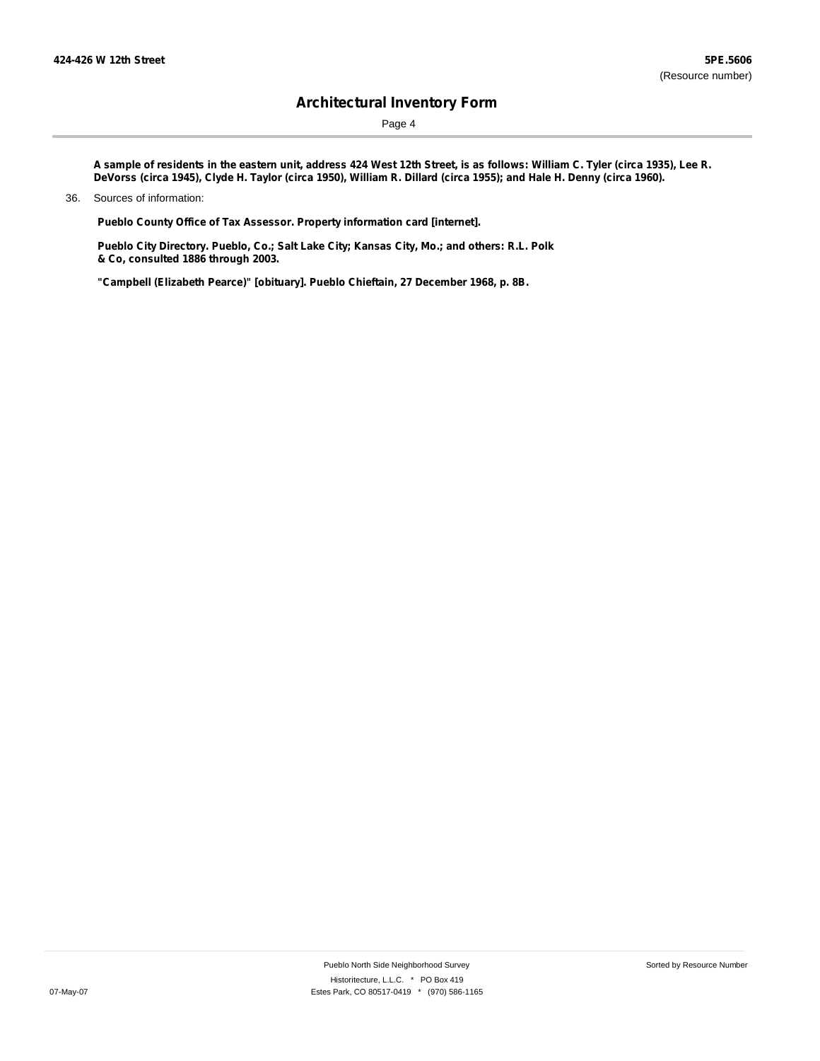Page 4

A sample of residents in the eastern unit, address 424 West 12th Street, is as follows: William C. Tyler (circa 1935), Lee R. DeVorss (circa 1945), Clyde H. Taylor (circa 1950), William R. Dillard (circa 1955); and Hale H. Denny (circa 1960).

**Pueblo County Office of Tax Assessor. Property information card [internet].**

**Pueblo City Directory. Pueblo, Co.; Salt Lake City; Kansas City, Mo.; and others: R.L. Polk & Co, consulted 1886 through 2003.**

**"Campbell (Elizabeth Pearce)" [obituary]. Pueblo Chieftain, 27 December 1968, p. 8B.**

<sup>36.</sup> Sources of information: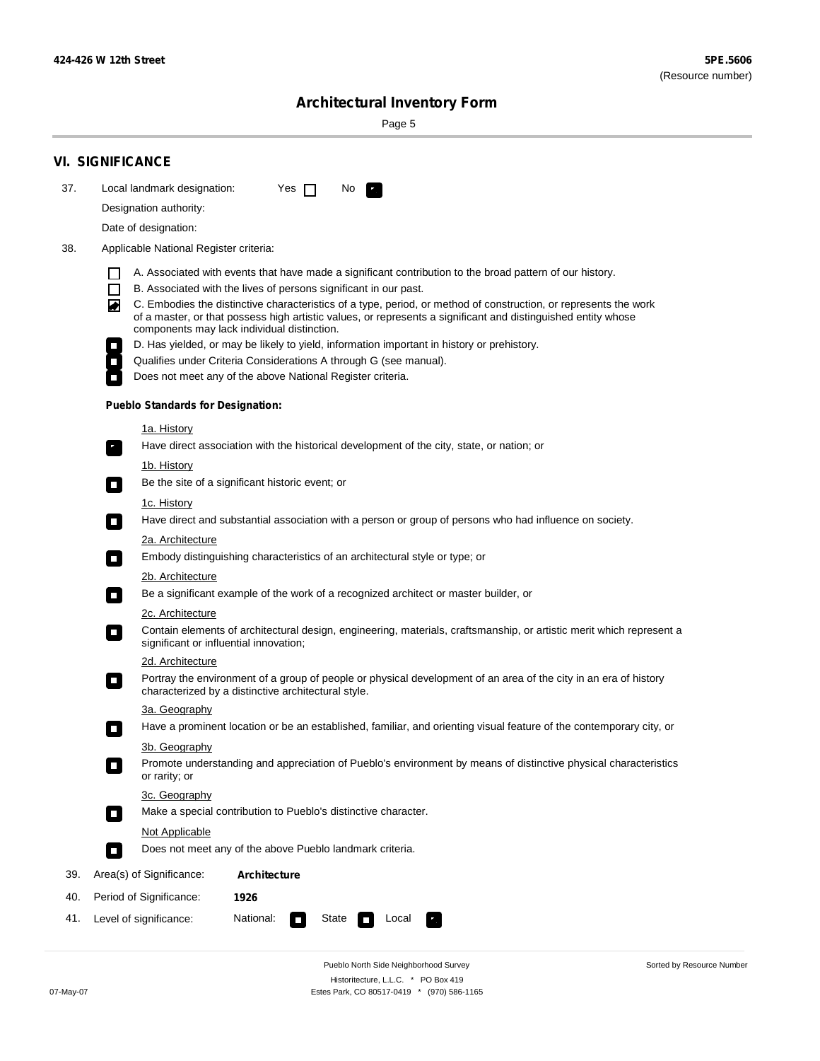۰

Sorted by Resource Number

# **Architectural Inventory Form**

Page 5

|     | <b>VI. SIGNIFICANCE</b>                                         |                                                                                                                                                                                                                                   |  |  |  |  |
|-----|-----------------------------------------------------------------|-----------------------------------------------------------------------------------------------------------------------------------------------------------------------------------------------------------------------------------|--|--|--|--|
| 37. | Local landmark designation:                                     | Yes $\Box$<br>No.<br>$\mathcal{F}_\alpha^{\alpha}$                                                                                                                                                                                |  |  |  |  |
|     | Designation authority:                                          |                                                                                                                                                                                                                                   |  |  |  |  |
|     | Date of designation:                                            |                                                                                                                                                                                                                                   |  |  |  |  |
| 38. | Applicable National Register criteria:                          |                                                                                                                                                                                                                                   |  |  |  |  |
|     |                                                                 |                                                                                                                                                                                                                                   |  |  |  |  |
|     | ΙI<br>$\Box$                                                    | A. Associated with events that have made a significant contribution to the broad pattern of our history.<br>B. Associated with the lives of persons significant in our past.                                                      |  |  |  |  |
|     | ◚                                                               | C. Embodies the distinctive characteristics of a type, period, or method of construction, or represents the work<br>of a master, or that possess high artistic values, or represents a significant and distinguished entity whose |  |  |  |  |
|     |                                                                 | components may lack individual distinction.<br>D. Has yielded, or may be likely to yield, information important in history or prehistory.                                                                                         |  |  |  |  |
|     | $\overline{\phantom{a}}$                                        | Qualifies under Criteria Considerations A through G (see manual).                                                                                                                                                                 |  |  |  |  |
|     |                                                                 | Does not meet any of the above National Register criteria.                                                                                                                                                                        |  |  |  |  |
|     | <b>Pueblo Standards for Designation:</b>                        |                                                                                                                                                                                                                                   |  |  |  |  |
|     | 1a. History                                                     |                                                                                                                                                                                                                                   |  |  |  |  |
|     | $\overline{\phantom{a}}$ .                                      | Have direct association with the historical development of the city, state, or nation; or                                                                                                                                         |  |  |  |  |
|     | 1b. History<br>$\Box$                                           | Be the site of a significant historic event; or                                                                                                                                                                                   |  |  |  |  |
|     | 1c. History<br>$\overline{\phantom{a}}$                         | Have direct and substantial association with a person or group of persons who had influence on society.                                                                                                                           |  |  |  |  |
|     | 2a. Architecture                                                |                                                                                                                                                                                                                                   |  |  |  |  |
|     |                                                                 | Embody distinguishing characteristics of an architectural style or type; or                                                                                                                                                       |  |  |  |  |
|     | 2b. Architecture                                                |                                                                                                                                                                                                                                   |  |  |  |  |
|     | $\overline{\phantom{a}}$                                        | Be a significant example of the work of a recognized architect or master builder, or                                                                                                                                              |  |  |  |  |
|     | 2c. Architecture                                                |                                                                                                                                                                                                                                   |  |  |  |  |
|     | $\Box$                                                          | Contain elements of architectural design, engineering, materials, craftsmanship, or artistic merit which represent a<br>significant or influential innovation;                                                                    |  |  |  |  |
|     | 2d. Architecture                                                |                                                                                                                                                                                                                                   |  |  |  |  |
|     | $\overline{\phantom{a}}$                                        | Portray the environment of a group of people or physical development of an area of the city in an era of history<br>characterized by a distinctive architectural style.                                                           |  |  |  |  |
|     | 3a. Geography                                                   |                                                                                                                                                                                                                                   |  |  |  |  |
|     |                                                                 | Have a prominent location or be an established, familiar, and orienting visual feature of the contemporary city, or                                                                                                               |  |  |  |  |
|     | 3b. Geography<br>or rarity; or                                  | Promote understanding and appreciation of Pueblo's environment by means of distinctive physical characteristics                                                                                                                   |  |  |  |  |
|     | 3c. Geography<br>$\Box$                                         | Make a special contribution to Pueblo's distinctive character.                                                                                                                                                                    |  |  |  |  |
|     | <b>Not Applicable</b>                                           |                                                                                                                                                                                                                                   |  |  |  |  |
|     | $\Box$                                                          | Does not meet any of the above Pueblo landmark criteria.                                                                                                                                                                          |  |  |  |  |
| 39. | Area(s) of Significance:                                        | <b>Architecture</b>                                                                                                                                                                                                               |  |  |  |  |
| 40. | Period of Significance:                                         | 1926                                                                                                                                                                                                                              |  |  |  |  |
| 41. | National:<br>State<br>Level of significance:<br>Local<br>$\sim$ |                                                                                                                                                                                                                                   |  |  |  |  |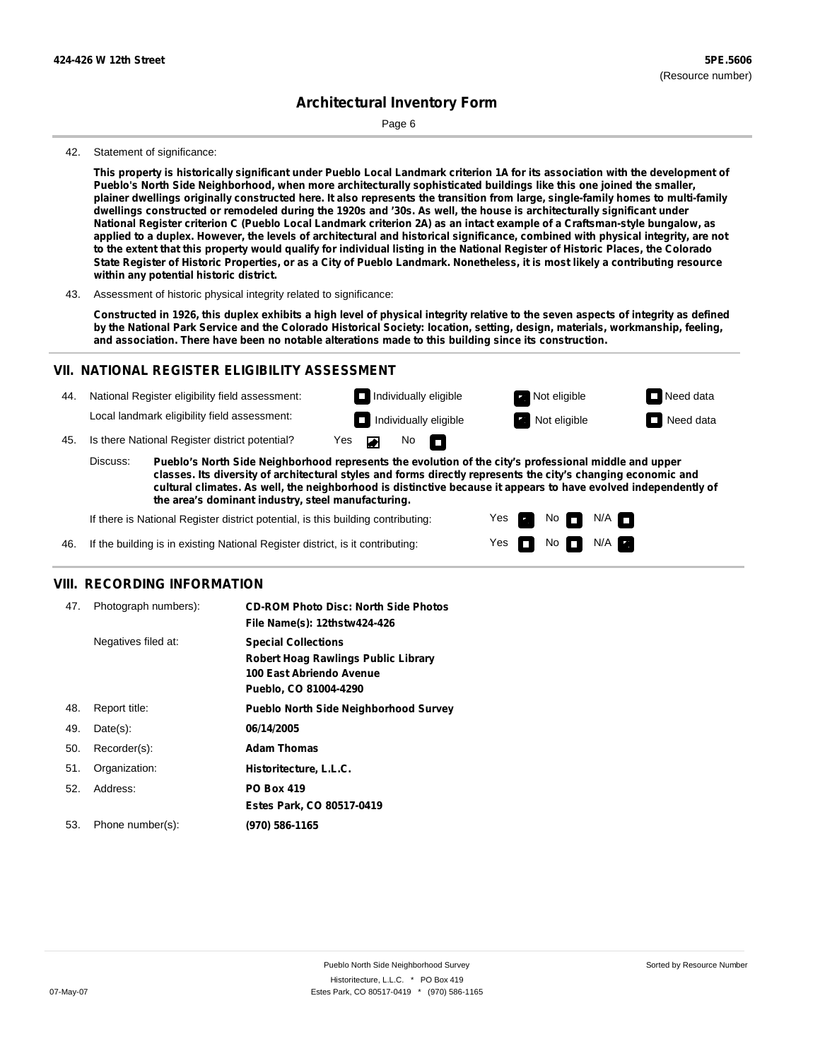Page 6

#### 42. Statement of significance:

This property is historically significant under Pueblo Local Landmark criterion 1A for its association with the development of **Pueblo's North Side Neighborhood, when more architecturally sophisticated buildings like this one joined the smaller,** plainer dwellings originally constructed here. It also represents the transition from large, single-family homes to multi-family dwellings constructed or remodeled during the 1920s and '30s. As well, the house is architecturally significant under National Register criterion C (Pueblo Local Landmark criterion 2A) as an intact example of a Craftsman-style bungalow, as applied to a duplex. However, the levels of architectural and historical significance, combined with physical integrity, are not to the extent that this property would qualify for individual listing in the National Register of Historic Places, the Colorado State Register of Historic Properties, or as a City of Pueblo Landmark. Nonetheless, it is most likely a contributing resource **within any potential historic district.**

43. Assessment of historic physical integrity related to significance:

Constructed in 1926, this duplex exhibits a high level of physical integrity relative to the seven aspects of integrity as defined by the National Park Service and the Colorado Historical Society: location, setting, design, materials, workmanship, feeling, **and association. There have been no notable alterations made to this building since its construction.**

#### **VII. NATIONAL REGISTER ELIGIBILITY ASSESSMENT**

National Register eligibility field assessment: 44. Local landmark eligibility field assessment:

**Individually eligible Not eligible** Not eligible **Need data Individually eligible Not eligible Not eligible Need data** 

 $No$ 

45. Is there National Register district potential? Yes

**Pueblo's North Side Neighborhood represents the evolution of the city's professional middle and upper classes. Its diversity of architectural styles and forms directly represents the city's changing economic and cultural climates. As well, the neighborhood is distinctive because it appears to have evolved independently of the area's dominant industry, steel manufacturing.** Discuss:

 $\blacksquare$ 

Yes Yes No

 $No$   $N/A$ 

N/A

If there is National Register district potential, is this building contributing:

46. If the building is in existing National Register district, is it contributing:

### **VIII. RECORDING INFORMATION**

| 47. | Photograph numbers): | <b>CD-ROM Photo Disc: North Side Photos</b><br>File Name(s): 12thstw424-426                                                   |
|-----|----------------------|-------------------------------------------------------------------------------------------------------------------------------|
|     | Negatives filed at:  | <b>Special Collections</b><br><b>Robert Hoag Rawlings Public Library</b><br>100 East Abriendo Avenue<br>Pueblo, CO 81004-4290 |
| 48. | Report title:        | <b>Pueblo North Side Neighborhood Survey</b>                                                                                  |
| 49. | $Date(s)$ :          | 06/14/2005                                                                                                                    |
| 50. | Recorder(s):         | <b>Adam Thomas</b>                                                                                                            |
| 51. | Organization:        | Historitecture, L.L.C.                                                                                                        |
| 52. | Address:             | <b>PO Box 419</b>                                                                                                             |
|     |                      | Estes Park, CO 80517-0419                                                                                                     |
| 53. | Phone number(s):     | (970) 586-1165                                                                                                                |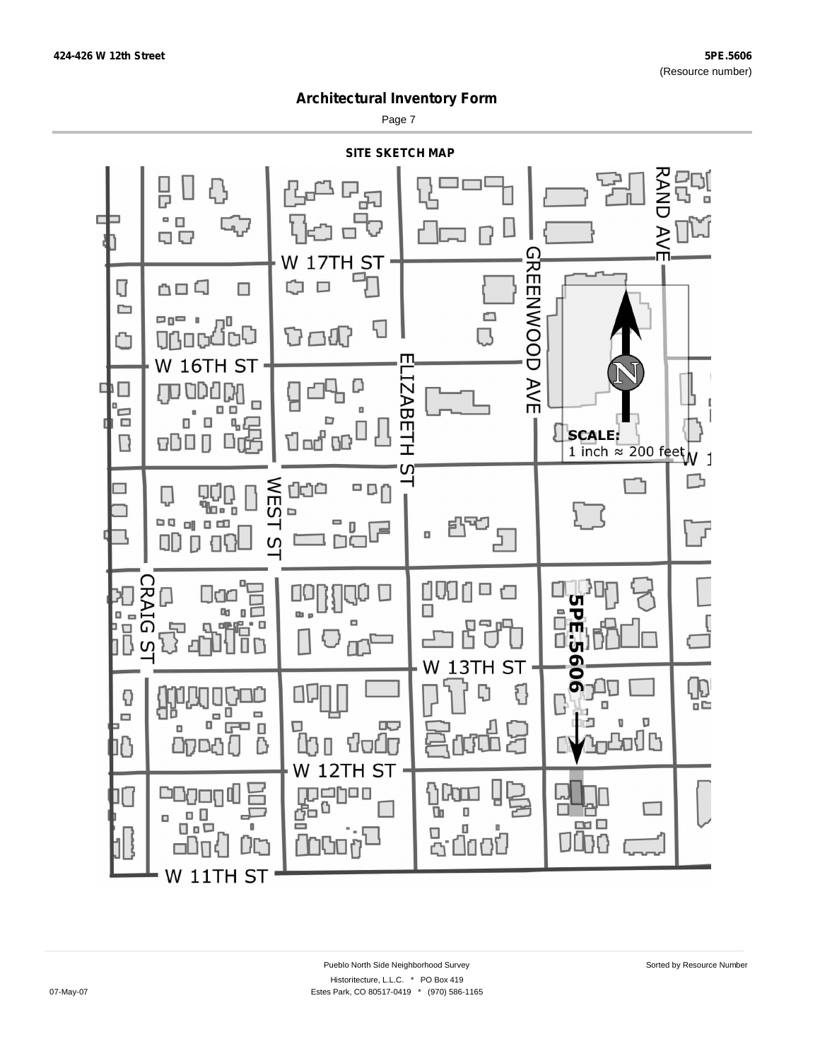Page 7